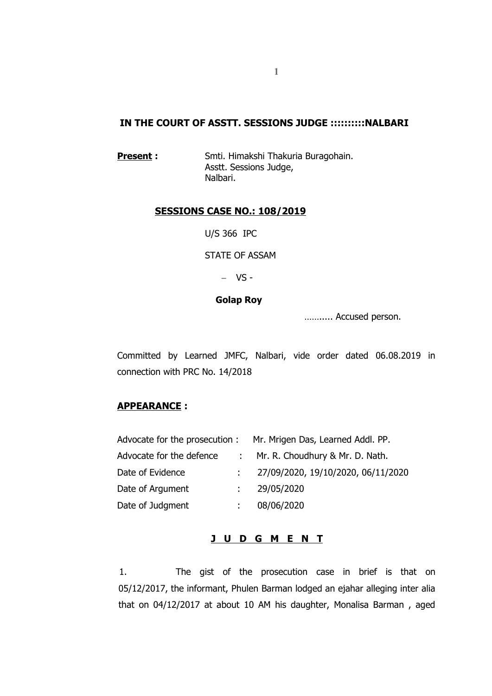# **IN THE COURT OF ASSTT. SESSIONS JUDGE ::::::::::NALBARI**

**Present :** Smti. Himakshi Thakuria Buragohain. Asstt. Sessions Judge, Nalbari.

### **SESSIONS CASE NO.: 108/2019**

U/S 366 IPC

STATE OF ASSAM

 $-VS$ 

### **Golap Roy**

……..... Accused person.

Committed by Learned JMFC, Nalbari, vide order dated 06.08.2019 in connection with PRC No. 14/2018

## **APPEARANCE :**

|                          |                  | Advocate for the prosecution : Mr. Mrigen Das, Learned Addl. PP. |
|--------------------------|------------------|------------------------------------------------------------------|
| Advocate for the defence |                  | : Mr. R. Choudhury & Mr. D. Nath.                                |
| Date of Evidence         |                  | 27/09/2020, 19/10/2020, 06/11/2020                               |
| Date of Argument         | $\mathbb{R}^{n}$ | 29/05/2020                                                       |
| Date of Judgment         |                  | 08/06/2020                                                       |

## **J U D G M E N T**

1. The gist of the prosecution case in brief is that on 05/12/2017, the informant, Phulen Barman lodged an ejahar alleging inter alia that on 04/12/2017 at about 10 AM his daughter, Monalisa Barman , aged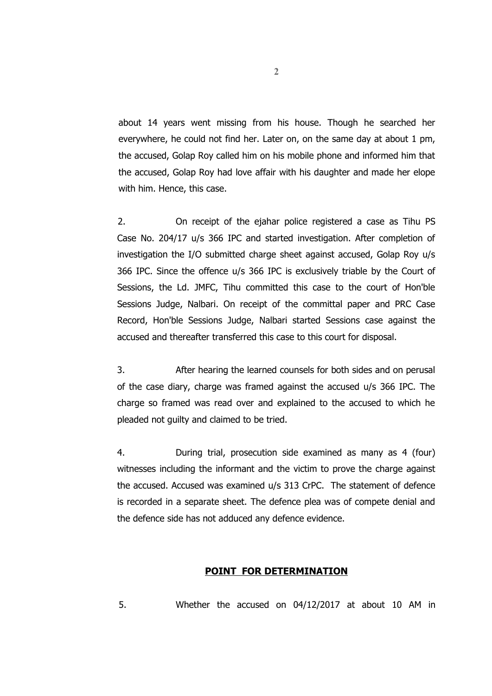about 14 years went missing from his house. Though he searched her everywhere, he could not find her. Later on, on the same day at about 1 pm, the accused, Golap Roy called him on his mobile phone and informed him that the accused, Golap Roy had love affair with his daughter and made her elope with him. Hence, this case.

2. On receipt of the ejahar police registered a case as Tihu PS Case No. 204/17 u/s 366 IPC and started investigation. After completion of investigation the I/O submitted charge sheet against accused, Golap Roy u/s 366 IPC. Since the offence u/s 366 IPC is exclusively triable by the Court of Sessions, the Ld. JMFC, Tihu committed this case to the court of Hon'ble Sessions Judge, Nalbari. On receipt of the committal paper and PRC Case Record, Hon'ble Sessions Judge, Nalbari started Sessions case against the accused and thereafter transferred this case to this court for disposal.

3. After hearing the learned counsels for both sides and on perusal of the case diary, charge was framed against the accused u/s 366 IPC. The charge so framed was read over and explained to the accused to which he pleaded not guilty and claimed to be tried.

4. During trial, prosecution side examined as many as 4 (four) witnesses including the informant and the victim to prove the charge against the accused. Accused was examined u/s 313 CrPC. The statement of defence is recorded in a separate sheet. The defence plea was of compete denial and the defence side has not adduced any defence evidence.

### **POINT FOR DETERMINATION**

5. Whether the accused on 04/12/2017 at about 10 AM in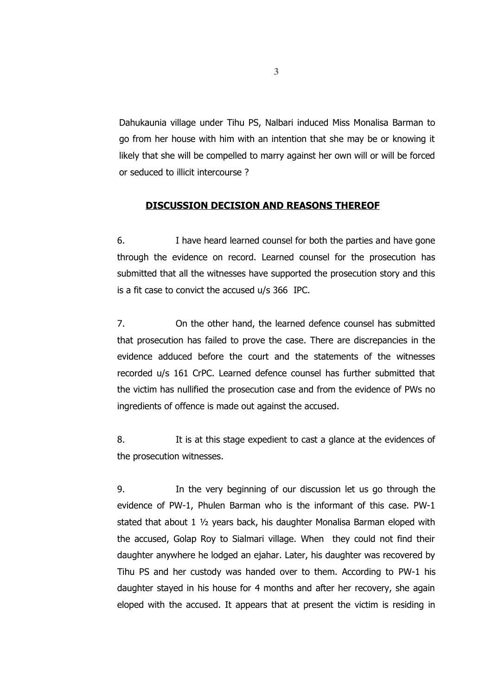Dahukaunia village under Tihu PS, Nalbari induced Miss Monalisa Barman to go from her house with him with an intention that she may be or knowing it likely that she will be compelled to marry against her own will or will be forced or seduced to illicit intercourse ?

## **DISCUSSION DECISION AND REASONS THEREOF**

6. I have heard learned counsel for both the parties and have gone through the evidence on record. Learned counsel for the prosecution has submitted that all the witnesses have supported the prosecution story and this is a fit case to convict the accused u/s 366 IPC.

7. On the other hand, the learned defence counsel has submitted that prosecution has failed to prove the case. There are discrepancies in the evidence adduced before the court and the statements of the witnesses recorded u/s 161 CrPC. Learned defence counsel has further submitted that the victim has nullified the prosecution case and from the evidence of PWs no ingredients of offence is made out against the accused.

8. It is at this stage expedient to cast a glance at the evidences of the prosecution witnesses.

9. In the very beginning of our discussion let us go through the evidence of PW-1, Phulen Barman who is the informant of this case. PW-1 stated that about 1 ½ years back, his daughter Monalisa Barman eloped with the accused, Golap Roy to Sialmari village. When they could not find their daughter anywhere he lodged an ejahar. Later, his daughter was recovered by Tihu PS and her custody was handed over to them. According to PW-1 his daughter stayed in his house for 4 months and after her recovery, she again eloped with the accused. It appears that at present the victim is residing in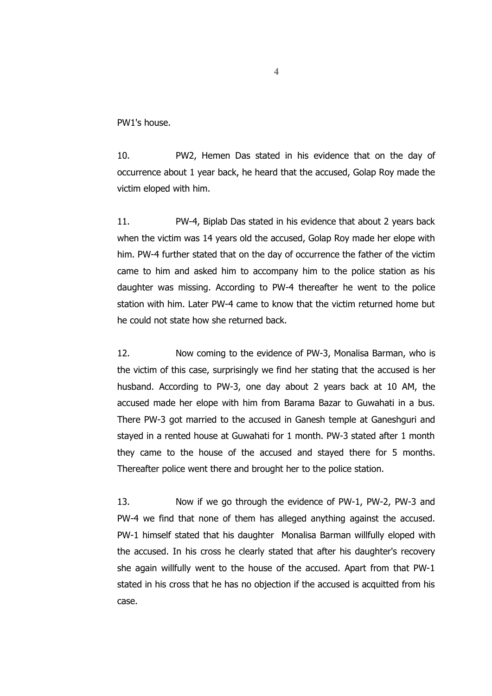PW1's house.

10. PW2, Hemen Das stated in his evidence that on the day of occurrence about 1 year back, he heard that the accused, Golap Roy made the victim eloped with him.

11. PW-4, Biplab Das stated in his evidence that about 2 years back when the victim was 14 years old the accused, Golap Roy made her elope with him. PW-4 further stated that on the day of occurrence the father of the victim came to him and asked him to accompany him to the police station as his daughter was missing. According to PW-4 thereafter he went to the police station with him. Later PW-4 came to know that the victim returned home but he could not state how she returned back.

12. Now coming to the evidence of PW-3, Monalisa Barman, who is the victim of this case, surprisingly we find her stating that the accused is her husband. According to PW-3, one day about 2 years back at 10 AM, the accused made her elope with him from Barama Bazar to Guwahati in a bus. There PW-3 got married to the accused in Ganesh temple at Ganeshguri and stayed in a rented house at Guwahati for 1 month. PW-3 stated after 1 month they came to the house of the accused and stayed there for 5 months. Thereafter police went there and brought her to the police station.

13. Now if we go through the evidence of PW-1, PW-2, PW-3 and PW-4 we find that none of them has alleged anything against the accused. PW-1 himself stated that his daughter Monalisa Barman willfully eloped with the accused. In his cross he clearly stated that after his daughter's recovery she again willfully went to the house of the accused. Apart from that PW-1 stated in his cross that he has no objection if the accused is acquitted from his case.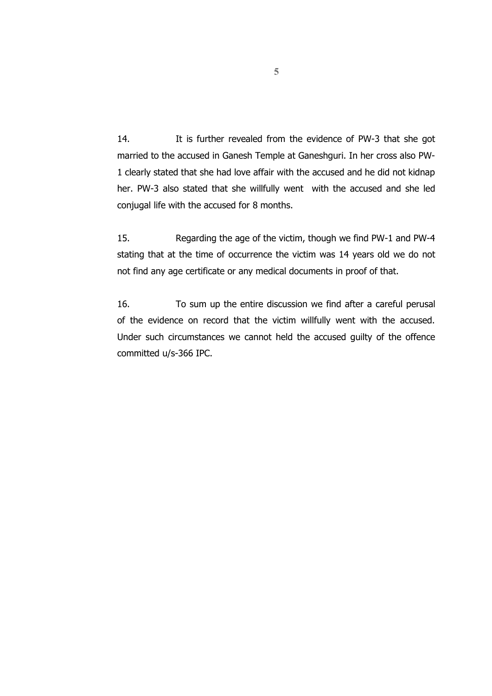14. It is further revealed from the evidence of PW-3 that she got married to the accused in Ganesh Temple at Ganeshguri. In her cross also PW-1 clearly stated that she had love affair with the accused and he did not kidnap her. PW-3 also stated that she willfully went with the accused and she led conjugal life with the accused for 8 months.

15. Regarding the age of the victim, though we find PW-1 and PW-4 stating that at the time of occurrence the victim was 14 years old we do not not find any age certificate or any medical documents in proof of that.

16. To sum up the entire discussion we find after a careful perusal of the evidence on record that the victim willfully went with the accused. Under such circumstances we cannot held the accused guilty of the offence committed u/s-366 IPC.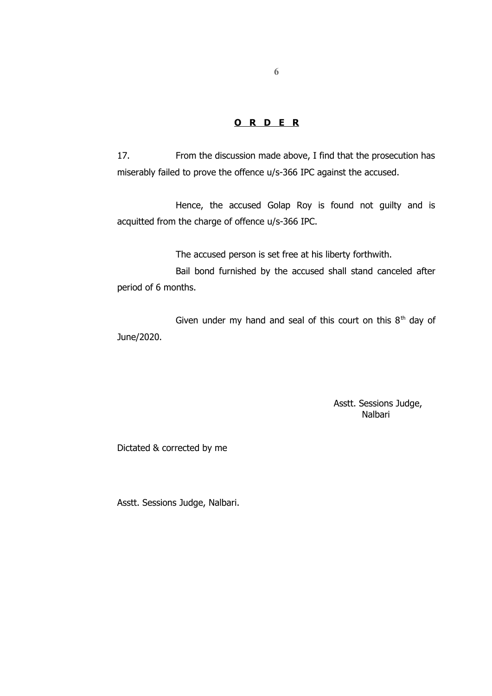### **O R D E R**

17. From the discussion made above, I find that the prosecution has miserably failed to prove the offence u/s-366 IPC against the accused.

Hence, the accused Golap Roy is found not guilty and is acquitted from the charge of offence u/s-366 IPC.

The accused person is set free at his liberty forthwith.

Bail bond furnished by the accused shall stand canceled after period of 6 months.

Given under my hand and seal of this court on this  $8<sup>th</sup>$  day of June/2020.

> Asstt. Sessions Judge, Nalbari

Dictated & corrected by me

Asstt. Sessions Judge, Nalbari.